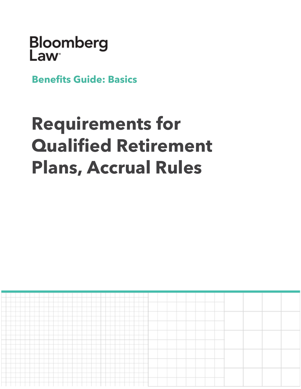# Bloomberg<br>Law

**Benefits Guide: Basics**

## **Requirements for Qualified Retirement Plans, Accrual Rules**

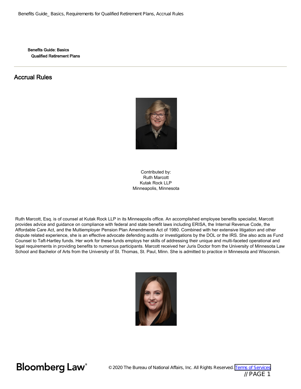Benefits Guide: Basics Qualified Retirement Plans

### Accrual Rules



Contributed by: Ruth Marcott Kutak Rock LLP Minneapolis, Minnesota

Ruth Marcott, Esq. is of counsel at Kutak Rock LLP in its Minneapolis office. An accomplished employee benefits specialist, Marcott provides advice and guidance on compliance with federal and state benefit laws including ERISA, the Internal Revenue Code, the Affordable Care Act, and the Multiemployer Pension Plan Amendments Act of 1980. Combined with her extensive litigation and other dispute related experience, she is an effective advocate defending audits or investigations by the DOL or the IRS. She also acts as Fund Counsel to Taft-Hartley funds. Her work for these funds employs her skills of addressing their unique and multi-faceted operational and legal requirements in providing benefits to numerous participants. Marcott received her Juris Doctor from the University of Minnesota Law School and Bachelor of Arts from the University of St. Thomas, St. Paul, Minn. She is admitted to practice in Minnesota and Wisconsin.

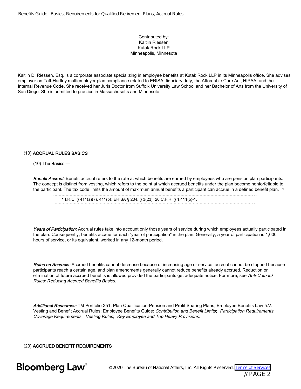### Contributed by: Kaitlin Riessen Kutak Rock LLP Minneapolis, Minnesota

Kaitlin D. Riessen, Esq. is a corporate associate specializing in employee benefits at Kutak Rock LLP in its Minneapolis office. She advises employer on Taft-Hartley multiemployer plan compliance related to ERISA, fiduciary duty, the Affordable Care Act, HIPAA, and the Internal Revenue Code. She received her Juris Doctor from Suffolk University Law School and her Bachelor of Arts from the University of San Diego. She is admitted to practice in Massachusetts and Minnesota.

### (10) ACCRUAL RULES BASICS

### $(10)$  The Basics —

Benefit Accrual: Benefit accrual refers to the rate at which benefits are earned by employees who are pension plan participants. The concept is distinct from vesting, which refers to the point at which accrued benefits under the plan become nonforfeitable to the participant. The tax code limits the amount of maximum annual benefits a participant can accrue in a defined benefit plan. 1

<sup>1</sup> I.R.C. § 411(a)(7), 411(b); ERISA § 204, § 3(23); 26 C.F.R. § 1.411(b)-1.

Years of Participation: Accrual rules take into account only those years of service during which employees actually participated in the plan. Consequently, benefits accrue for each "year of participation" in the plan. Generally, a year of participation is 1,000 hours of service, or its equivalent, worked in any 12-month period.

Rules on Accruals: Accrued benefits cannot decrease because of increasing age or service, accrual cannot be stopped because participants reach a certain age, and plan amendments generally cannot reduce benefits already accrued. Reduction or elimination of future accrued benefits is allowed provided the participants get adequate notice. For more, see Anti-Cutback Rules: Reducing Accrued Benefits Basics.

Additional Resources: TM Portfolio 351: Plan Qualification-Pension and Profit Sharing Plans; Employee Benefits Law 5.V.: Vesting and Benefit Accrual Rules; Employee Benefits Guide: Contribution and Benefit Limits; Participation Requirements; Coverage Requirements; Vesting Rules; Key Employee and Top Heavy Provisions.

(20) ACCRUED BENEFIT REQUIREMENTS

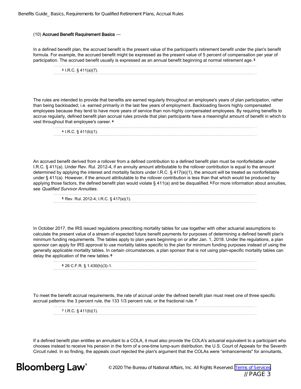### (10) Accrued Benefit Requirement Basics —

In a defined benefit plan, the accrued benefit is the present value of the participant's retirement benefit under the plan's benefit formula. For example, the accrued benefit might be expressed as the present value of 5 percent of compensation per year of participation. The accrued benefit usually is expressed as an annual benefit beginning at normal retirement age. <sup>3</sup>

| $3$ I.R.C. $\S$ 411(a)(7). |  |
|----------------------------|--|
|                            |  |

The rules are intended to provide that benefits are earned regularly throughout an employee's years of plan participation, rather than being backloaded; i.e. earned primarily in the last few years of employment. Backloading favors highly compensated employees because they tend to have more years of service than non-highly compensated employees. By requiring benefits to accrue regularly, defined benefit plan accrual rules provide that plan participants have a meaningful amount of benefit in which to vest throughout that employee's career. <sup>4</sup>

| $4$ I.R.C. § 411(b)(1). |  |  |
|-------------------------|--|--|
|                         |  |  |

An accrued benefit derived from a rollover from a defined contribution to a defined benefit plan must be nonforfeitable under I.R.C. § 411(a). Under Rev. Rul. 2012-4, if an annuity amount attributable to the rollover contribution is equal to the amount determined by applying the interest and mortality factors under I.R.C. § 417(e)(1), the amount will be treated as nonforfeitable under § 411(a). However, if the amount attributable to the rollover contribution is less than that which would be produced by applying those factors, the defined benefit plan would violate § 411(a) and be disqualified. <sup>5</sup> For more information about annuities, see Qualified Survivor Annuities.

| <sup>5</sup> Rev. Rul. 2012-4; I.R.C. § 417(e)(1). |  |
|----------------------------------------------------|--|
|                                                    |  |

In October 2017, the IRS issued regulations prescribing mortality tables for use together with other actuarial assumptions to calculate the present value of a stream of expected future benefit payments for purposes of determining a defined benefit plan's minimum funding requirements. The tables apply to plan years beginning on or after Jan. 1, 2018. Under the regulations, a plan sponsor can apply for IRS approval to use mortality tables specific to the plan for minimum funding purposes instead of using the generally applicable mortality tables. In certain circumstances, a plan sponsor that is not using plan-specific mortality tables can delay the application of the new tables. <sup>6</sup>

| 6 26 C.F.R. § 1.430(h)(3)-1. |  |
|------------------------------|--|
|                              |  |

To meet the benefit accrual requirements, the rate of accrual under the defined benefit plan must meet one of three specific accrual patterns: the 3 percent rule, the 133 1/3 percent rule, or the fractional rule. <sup>7</sup>

| 7 I.R.C. $\S$ 411(b)(1). |  |
|--------------------------|--|
|                          |  |

If a defined benefit plan entitles an annuitant to a COLA, it must also provide the COLA's actuarial equivalent to a participant who chooses instead to receive his pension in the form of a one-time lump-sum distribution, the U.S. Court of Appeals for the Seventh Circuit ruled. In so finding, the appeals court rejected the plan's argument that the COLAs were "enhancements" for annuitants,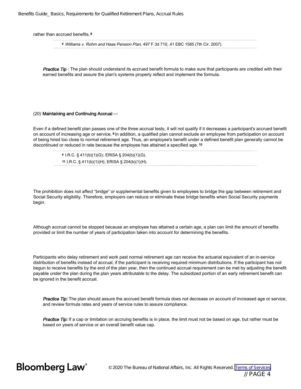rather than accrued benefits. 8

<sup>8</sup> Williams v. Rohm and Haas Pension Plan, 497 F.3d 710, 41 EBC 1585 (7th Cir. 2007).

Practice Tip: The plan should understand its accrued benefit formula to make sure that participants are credited with their earned benefits and assure the plan's systems properly reflect and implement the formula.

### (20) Maintaining and Continuing Accrual —

Even if a defined benefit plan passes one of the three accrual tests, it will not qualify if it decreases a participant's accrued benefit on account of increasing age or service. <sup>9</sup> In addition, a qualified plan cannot exclude an employee from participation on account of being hired too close to normal retirement age. Thus, an employee's benefit under a defined benefit plan generally cannot be discontinued or reduced in rate because the employee has attained a specified age. <sup>10</sup>

9 I.B. G. § 4110 V.O. ERIOL § 2010 V.O.

| <sup>9</sup> I.R.C. § 411(b)(1)(G); ERISA § 204(b)(1)(G). |  |
|-----------------------------------------------------------|--|
| 10 I.R.C. $\S$ 411(b)(1)(H); ERISA $\S$ 204(b)(1)(H).     |  |
|                                                           |  |

The prohibition does not affect "bridge" or supplemental benefits given to employees to bridge the gap between retirement and Social Security eligibility. Therefore, employers can reduce or eliminate these bridge benefits when Social Security payments begin.

Although accrual cannot be stopped because an employee has attained a certain age, a plan can limit the amount of benefits provided or limit the number of years of participation taken into account for determining the benefits.

Participants who delay retirement and work past normal retirement age can receive the actuarial equivalent of an in-service distribution of benefits instead of accrual, if the participant is receiving required minimum distributions. If the participant has not begun to receive benefits by the end of the plan year, then the continued accrual requirement can be met by adjusting the benefit payable under the plan during the plan years attributable to the delay. The subsidized portion of an early retirement benefit can be ignored in the benefit accrual.

Practice Tip: The plan should assure the accrued benefit formula does not decrease on account of increased age or service, and review formula rates and years of service rules to assure compliance.

Practice Tip: If a cap or limitation on accruing benefits is in place, the limit must not be based on age, but rather must be based on years of service or an overall benefit value cap.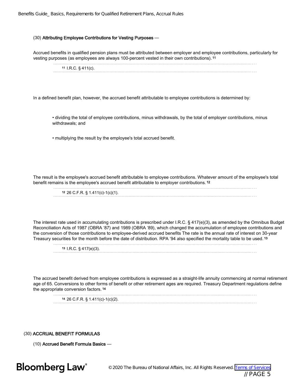### (30) Attributing Employee Contributions for Vesting Purposes —

Accrued benefits in qualified pension plans must be attributed between employer and employee contributions, particularly for vesting purposes (as employees are always 100-percent vested in their own contributions). <sup>11</sup>

| 11 I.R.C. $\S$ 411(c). |  |
|------------------------|--|
|                        |  |

In a defined benefit plan, however, the accrued benefit attributable to employee contributions is determined by:

• dividing the total of employee contributions, minus withdrawals, by the total of employer contributions, minus withdrawals; and

• multiplying the result by the employee's total accrued benefit.

The result is the employee's accrued benefit attributable to employee contributions. Whatever amount of the employee's total benefit remains is the employee's accrued benefit attributable to employer contributions. <sup>12</sup>

| 12 26 C.F.R. $\S$ 1.411(c)-1(c)(1). |
|-------------------------------------|
|                                     |

The interest rate used in accumulating contributions is prescribed under I.R.C. § 417(e)(3), as amended by the Omnibus Budget Reconciliation Acts of 1987 (OBRA '87) and 1989 (OBRA '89), which changed the accumulation of employee contributions and the conversion of those contributions to employee-derived accrued benefits The rate is the annual rate of interest on 30-year Treasury securities for the month before the date of distribution. RPA '94 also specified the mortality table to be used. <sup>13</sup>

| $13$ I.R.C. $\S$ 417(e)(3). |  |
|-----------------------------|--|
|                             |  |

The accrued benefit derived from employee contributions is expressed as a straight-life annuity commencing at normal retirement age of 65. Conversions to other forms of benefit or other retirement ages are required. Treasury Department regulations define the appropriate conversion factors. <sup>14</sup>

<sup>14</sup> 26 C.F.R. § 1.411(c)-1(c)(2).

(30) ACCRUAL BENEFIT FORMULAS

(10) Accrued Benefit Formula Basics —

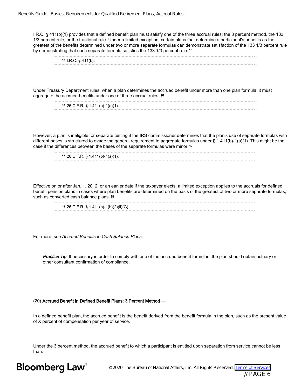I.R.C. § 411(b)(1) provides that a defined benefit plan must satisfy one of the three accrual rules: the 3 percent method, the 133 1/3 percent rule, or the fractional rule. Under a limited exception, certain plans that determine a participant's benefits as the greatest of the benefits determined under two or more separate formulas can demonstrate satisfaction of the 133 1/3 percent rule by demonstrating that each separate formula satisfies the 133 1/3 percent rule. <sup>15</sup>

<sup>15</sup> I.R.C. § 411(b). 

Under Treasury Department rules, when a plan determines the accrued benefit under more than one plan formula, it must aggregate the accrued benefits under one of three accrual rules. <sup>16</sup>

| $16$ 26 C.F.R. § 1.411(b)-1(a)(1). |  |
|------------------------------------|--|
|                                    |  |

However, a plan is ineligible for separate testing if the IRS commissioner determines that the plan's use of separate formulas with different bases is structured to evade the general requirement to aggregate formulas under § 1.411(b)-1(a)(1). This might be the case if the differences between the bases of the separate formulas were minor. <sup>17</sup>

| 17 26 C.F.R. § 1.411(b)-1(a)(1). |
|----------------------------------|
|                                  |

Effective on or after Jan. 1, 2012, or an earlier date if the taxpayer elects, a limited exception applies to the accruals for defined benefit pension plans in cases where plan benefits are determined on the basis of the greatest of two or more separate formulas, such as converted cash balance plans. 18

<sup>18</sup> 26 C.F.R. § 1.411(b)-1(b)(2)(ii)(G).

For more, see Accrued Benefits in Cash Balance Plans.

Practice Tip: If necessary in order to comply with one of the accrued benefit formulas, the plan should obtain actuary or other consultant confirmation of compliance.

### (20) Accrued Benefit in Defined Benefit Plans: 3 Percent Method —

In a defined benefit plan, the accrued benefit is the benefit derived from the benefit formula in the plan, such as the present value of X percent of compensation per year of service.

Under the 3 percent method, the accrued benefit to which a participant is entitled upon separation from service cannot be less than:

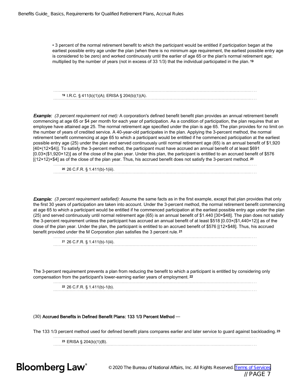• 3 percent of the normal retirement benefit to which the participant would be entitled if participation began at the earliest possible entry age under the plan (when there is no minimum age requirement, the earliest possible entry age is considered to be zero) and worked continuously until the earlier of age 65 or the plan's normal retirement age; multiplied by the number of years (not in excess of 33 1/3) that the individual participated in the plan. <sup>19</sup>

<sup>19</sup> I.R.C. § 411(b)(1)(A); ERISA § 204(b)(1)(A).

**Example:** (3 percent requirement not met): A corporation's defined benefit benefit plan provides an annual retirement benefit commencing at age 65 or \$4 per month for each year of participation. As a condition of participation, the plan requires that an employee have attained age 25. The normal retirement age specified under the plan is age 65. The plan provides for no limit on the number of years of credited service. A 40-year-old participates in the plan. Applying the 3-percent method, the normal retirement benefit commencing at age 65 to which a participant would be entitled if he commenced participation at the earliest possible entry age (25) under the plan and served continuously until normal retirement age (65) is an annual benefit of \$1,920 [40×(12×\$4)]. To satisfy the 3-percent method, the participant must have accrued an annual benefit of at least \$691 [0.03×(\$1,920×12)] as of the close of the plan year. Under this plan, the participant is entitled to an accrued benefit of \$576  $[(12\times12)\times$4]$  as of the close of the plan year. Thus, his accrued benefit does not satisfy the 3-percent method. 20

<sup>20</sup> 26 C.F.R. § 1.411(b)-1(iii).

**Example:** (3 percent requirement satisfied): Assume the same facts as in the first example, except that plan provides that only the first 30 years of participation are taken into account. Under the 3-percent method, the normal retirement benefit commencing at age 65 to which a participant would be entitled if he commenced participation at the earliest possible entry age under the plan (25) and served continuously until normal retirement age (65) is an annual benefit of \$1.440 [30×\$48]. The plan does not satisfy the 3-percent requirement unless the participant has accrued an annual benefit of at least \$518 [0.03×(\$1,440×12)] as of the close of the plan year. Under the plan, the participant is entitled to an accrued benefit of \$576 [(12×\$48]. Thus, his accrued benefit provided under the M Corporation plan satisfies the 3 percent rule. <sup>21</sup>

| 21 26 C.F.R. § 1.411(b)-1(iii). |  |
|---------------------------------|--|

The 3-percent requirement prevents a plan from reducing the benefit to which a participant is entitled by considering only compensation from the participant's lower-earning earlier years of employment. <sup>22</sup>

| 22 26 C.F.R. § 1.411(b)-1(b). |  |
|-------------------------------|--|
|                               |  |

### (30) Accrued Benefits in Defined Benefit Plans: 133 1/3 Percent Method —

The 133 1/3 percent method used for defined benefit plans compares earlier and later service to guard against backloading. <sup>23</sup> <sup>23</sup> ERISA § 204(b)(1)(B).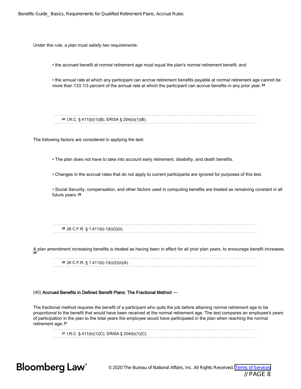Under this rule, a plan must satisfy two requirements:

• the accrued benefit at normal retirement age must equal the plan's normal retirement benefit; and

• the annual rate at which any participant can accrue retirement benefits payable at normal retirement age cannot be more than 133 1/3 percent of the annual rate at which the participant can accrue benefits in any prior year. 24

<sup>24</sup> I.R.C. § 411(b)(1)(B); ERISA § 204(b)(1)(B).

The following factors are considered in applying the test:

• The plan does not have to take into account early retirement, disability, and death benefits.

• Changes in the accrual rates that do not apply to current participants are ignored for purposes of this test.

• Social Security, compensation, and other factors used in computing benefits are treated as remaining constant in all future years. <sup>25</sup>

<sup>25</sup> 26 C.F.R. § 1.411(b)-1(b)(2)(ii).

A plan amendment increasing benefits is treated as having been in effect for all prior plan years, to encourage benefit increases. 26

<sup>26</sup> 26 C.F.R. § 1.411(b)-1(b)(2)(ii)(A).

### (40) Accrued Benefits in Defined Benefit Plans: The Fractional Method —

The fractional method requires the benefit of a participant who quits the job before attaining normal retirement age to be proportional to the benefit that would have been received at the normal retirement age. The test compares an employee's years of participation in the plan to the total years the employee would have participated in the plan when reaching the normal retirement age. <sup>27</sup>

<sup>27</sup> I.R.C. § 411(b)(1)(C); ERISA § 204(b)(1)(C).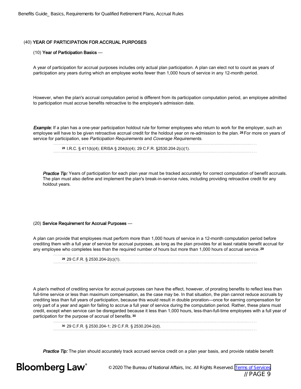### (40) YEAR OF PARTICIPATION FOR ACCRUAL PURPOSES

### (10) Year of Participation Basics —

A year of participation for accrual purposes includes only actual plan participation. A plan can elect not to count as years of participation any years during which an employee works fewer than 1,000 hours of service in any 12-month period.

However, when the plan's accrual computation period is different from its participation computation period, an employee admitted to participation must accrue benefits retroactive to the employee's admission date.

Example: If a plan has a one-year participation holdout rule for former employees who return to work for the employer, such an employee will have to be given retroactive accrual credit for the holdout year on re-admission to the plan. 28 For more on years of service for participation, see Participation Requirements and Coverage Requirements.

| <sup>28</sup> I.R.C. § 411(b)(4); ERISA § 204(b)(4); 29 C.F.R. §2530.204-2(c)(1). |
|-----------------------------------------------------------------------------------|
|                                                                                   |

Practice Tip: Years of participation for each plan year must be tracked accurately for correct computation of benefit accruals. The plan must also define and implement the plan's break-in-service rules, including providing retroactive credit for any holdout years.

### (20) Service Requirement for Accrual Purposes —

A plan can provide that employees must perform more than 1,000 hours of service in a 12-month computation period before crediting them with a full year of service for accrual purposes, as long as the plan provides for at least ratable benefit accrual for any employee who completes less than the required number of hours but more than 1,000 hours of accrual service. <sup>29</sup>

<sup>29</sup> 29 C.F.R. § 2530.204-2(c)(1).

A plan's method of crediting service for accrual purposes can have the effect, however, of prorating benefits to reflect less than full-time service or less than maximum compensation, as the case may be. In that situation, the plan cannot reduce accruals by crediting less than full years of participation, because this would result in double proration—once for earning compensation for only part of a year and again for failing to accrue a full year of service during the computation period. Rather, these plans must credit, except when service can be disregarded because it less than 1,000 hours, less-than-full-time employees with a full year of participation for the purpose of accrual of benefits. <sup>30</sup>

<sup>30</sup> 29 C.F.R. § 2530.204-1; 29 C.F.R. § 2530.204-2(d).

Practice Tip: The plan should accurately track accrued service credit on a plan year basis, and provide ratable benefit

### **Bloomberg Law**<sup>®</sup>

© 2020 The Bureau of National Affairs, Inc. All Rights Reserved. [Terms of Services](http://www.bna.com/terms-of-service-subscription-products) // PAGE 9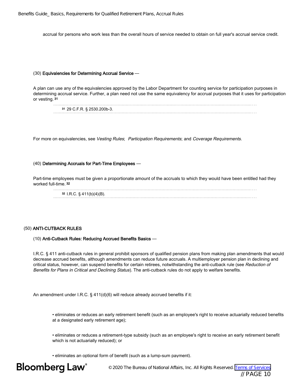accrual for persons who work less than the overall hours of service needed to obtain on full year's accrual service credit.

### (30) Equivalencies for Determining Accrual Service —

A plan can use any of the equivalencies approved by the Labor Department for counting service for participation purposes in determining accrual service. Further, a plan need not use the same equivalency for accrual purposes that it uses for participation or vesting. <sup>31</sup>

| 31 29 C.F.R. § 2530.200b-3. |
|-----------------------------|
|                             |

For more on equivalencies, see Vesting Rules; Participation Requirements; and Coverage Requirements.

### (40) Determining Accruals for Part-Time Employees —

Part-time employees must be given a proportionate amount of the accruals to which they would have been entitled had they worked full-time. <sup>32</sup>

<sup>32</sup> I.R.C. § 411(b)(4)(B). 

### (50) ANTI-CUTBACK RULES

### (10) Anti-Cutback Rules: Reducing Accrued Benefits Basics —

I.R.C. § 411 anti-cutback rules in general prohibit sponsors of qualified pension plans from making plan amendments that would decrease accrued benefits, although amendments can reduce future accruals. A multiemployer pension plan in declining and critical status, however, can suspend benefits for certain retirees, notwithstanding the anti-cutback rule (see Reduction of Benefits for Plans in Critical and Declining Status). The anti-cutback rules do not apply to welfare benefits.

An amendment under I.R.C. § 411(d)(6) will reduce already accrued benefits if it:

• eliminates or reduces an early retirement benefit (such as an employee's right to receive actuarially reduced benefits at a designated early retirement age);

• eliminates or reduces a retirement-type subsidy (such as an employee's right to receive an early retirement benefit which is not actuarially reduced); or

• eliminates an optional form of benefit (such as a lump-sum payment).

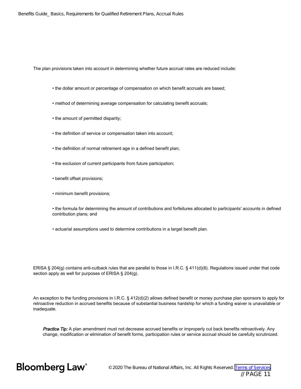The plan provisions taken into account in determining whether future accrual rates are reduced include:

- the dollar amount or percentage of compensation on which benefit accruals are based;
- method of determining average compensation for calculating benefit accruals;
- the amount of permitted disparity;
- the definition of service or compensation taken into account;
- the definition of normal retirement age in a defined benefit plan;
- the exclusion of current participants from future participation;
- benefit offset provisions;
- minimum benefit provisions;
- the formula for determining the amount of contributions and forfeitures allocated to participants' accounts in defined contribution plans; and
- actuarial assumptions used to determine contributions in a target benefit plan.

ERISA § 204(g) contains anti-cutback rules that are parallel to those in I.R.C. § 411(d)(6). Regulations issued under that code section apply as well for purposes of ERISA § 204(g).

An exception to the funding provisions in I.R.C. § 412(d)(2) allows defined benefit or money purchase plan sponsors to apply for retroactive reduction in accrued benefits because of substantial business hardship for which a funding waiver is unavailable or inadequate.

Practice Tip: A plan amendment must not decrease accrued benefits or improperly cut back benefits retroactively. Any change, modification or elimination of benefit forms, participation rules or service accrual should be carefully scrutinized.

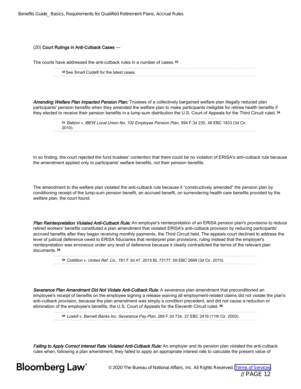### (20) Court Rulings in Anti-Cutback Cases —

The courts have addressed the anti-cutback rules in a number of cases.<sup>33</sup>

| <sup>33</sup> See Smart Code® for the latest cases. |  |
|-----------------------------------------------------|--|
|                                                     |  |

Amending Welfare Plan Impacted Pension Plan: Trustees of a collectively bargained welfare plan illegally reduced plan participants' pension benefits when they amended the welfare plan to make participants ineligible for retiree health benefits if they elected to receive their pension benefits in a lump-sum distribution the U.S. Court of Appeals for the Third Circuit ruled. 34 

<sup>34</sup> Battoni v. IBEW Local Union No. 102 Employee Pension Plan, 594 F.3d 230, 48 EBC 1833 (3d Cir. 2010). 

In so finding, the court rejected the fund trustees' contention that there could be no violation of ERISA's anti-cutback rule because the amendment applied only to participants' welfare benefits, not their pension benefits.

The amendment to the welfare plan violated the anti-cutback rule because it "constructively amended" the pension plan by conditioning receipt of the lump-sum pension benefit, an accrued benefit, on surrendering health care benefits provided by the welfare plan, the court found.

Plan Reinterpretation Violated Anti-Cutback Rule: An employer's reinterpretation of an ERISA pension plan's provisions to reduce retired workers' benefits constituted a plan amendment that violated ERISA's anti-cutback provision by reducing participants' accrued benefits after they began receiving monthly payments, the Third Circuit held. The appeals court declined to address the level of judicial deference owed to ERISA fiduciaries that reinterpret plan provisions, ruling instead that the employer's reinterpretation was erroneous under any level of deference because it clearly contradicted the terms of the relevant plan documents. <sup>35</sup>

<sup>35</sup> Cottillion v. United Ref. Co., 781 F.3d 47, 2015 BL 73177; 59 EBC 2669 (3d Cir. 2015).

Severance Plan Amendment Did Not Violate Anti-Cutback Rule: A severance plan amendment that preconditioned an employee's receipt of benefits on the employee signing a release waiving all employment-related claims did not violate the plan's anti-cutback provision, because the plan amendment was simply a condition precedent, and did not cause a reduction or elimination of the employee's benefits, the U.S. Court of Appeals for the Eleventh Circuit ruled. <sup>36</sup>

<sup>36</sup> Loskill v. Barnett Banks Inc. Severance Pay Plan, 289 F.3d 734, 27 EBC 2416 (11th Cir. 2002).

Failing to Apply Correct Interest Rate Violated Anti-Cutback Rule: An employer and its pension plan violated the anti-cutback rules when, following a plan amendment, they failed to apply an appropriate interest rate to calculate the present value of

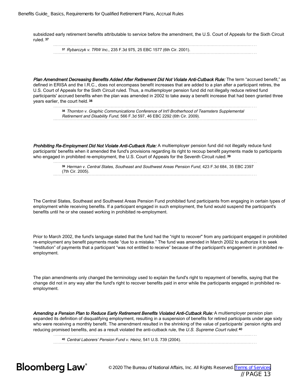subsidized early retirement benefits attributable to service before the amendment, the U.S. Court of Appeals for the Sixth Circuit ruled. <sup>37</sup>

<sup>37</sup> Rybarczyk v. TRW Inc., 235 F.3d 975, 25 EBC 1577 (6th Cir. 2001).

Plan Amendment Decreasing Benefits Added After Retirement Did Not Violate Anti-Cutback Rule: The term "accrued benefit," as defined in ERISA and the I.R.C., does not encompass benefit increases that are added to a plan after a participant retires, the U.S. Court of Appeals for the Sixth Circuit ruled. Thus, a multiemployer pension fund did not illegally reduce retired fund participants' accrued benefits when the plan was amended in 2002 to take away a benefit increase that had been granted three years earlier, the court held. <sup>38</sup>

38 Thornton v. Graphic Communications Conference of Int'l Brotherhood of Teamsters Supplemental Retirement and Disability Fund, 566 F.3d 597, 46 EBC 2292 (6th Cir. 2009).

Prohibiting Re-Employment Did Not Violate Anti-Cutback Rule: A multiemployer pension fund did not illegally reduce fund participants' benefits when it amended the fund's provisions regarding its right to recoup benefit payments made to participants who engaged in prohibited re-employment, the U.S. Court of Appeals for the Seventh Circuit ruled. 39

|                  | <sup>39</sup> Herman v. Central States, Southeast and Southwest Areas Pension Fund, 423 F.3d 684, 35 EBC 2397 |  |
|------------------|---------------------------------------------------------------------------------------------------------------|--|
| (7th Cir. 2005). |                                                                                                               |  |
|                  |                                                                                                               |  |

The Central States, Southeast and Southwest Areas Pension Fund prohibited fund participants from engaging in certain types of employment while receiving benefits. If a participant engaged in such employment, the fund would suspend the participant's benefits until he or she ceased working in prohibited re-employment.

Prior to March 2002, the fund's language stated that the fund had the "right to recover" from any participant engaged in prohibited re-employment any benefit payments made "due to a mistake." The fund was amended in March 2002 to authorize it to seek "restitution" of payments that a participant "was not entitled to receive" because of the participant's engagement in prohibited reemployment.

The plan amendments only changed the terminology used to explain the fund's right to repayment of benefits, saying that the change did not in any way alter the fund's right to recover benefits paid in error while the participants engaged in prohibited reemployment.

Amending a Pension Plan to Reduce Early Retirement Benefits Violated Anti-Cutback Rule: A multiemployer pension plan expanded its definition of disqualifying employment, resulting in a suspension of benefits for retired participants under age sixty who were receiving a monthly benefit. The amendment resulted in the shrinking of the value of participants' pension rights and reducing promised benefits, and as a result violated the anti-cutback rule, the U.S. Supreme Court ruled. 40

<sup>40</sup> Central Laborers' Pension Fund v. Heinz, 541 U.S. 739 (2004).



© 2020 The Bureau of National Affairs, Inc. All Rights Reserved. [Terms of Services](http://www.bna.com/terms-of-service-subscription-products) // PAGE 13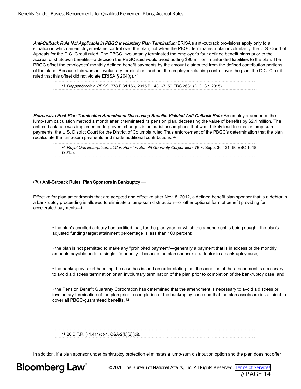Anti-Cutback Rule Not Applicable in PBGC Involuntary Plan Termination: ERISA's anti-cutback provisions apply only to a situation in which an employer retains control over the plan, not when the PBGC terminates a plan involuntarily, the U.S. Court of Appeals for the D.C. Circuit ruled. The PBGC involuntarily terminated the employer's four defined benefit plans prior to the accrual of shutdown benefits—a decision the PBGC said would avoid adding \$96 million in unfunded liabilities to the plan. The PBGC offset the employees' monthly defined benefit payments by the amount distributed from the defined contribution portions of the plans. Because this was an involuntary termination, and not the employer retaining control over the plan, the D.C. Circuit ruled that this offset did not violate ERISA § 204(g). <sup>41</sup>

<sup>41</sup> Deppenbrook v. PBGC, 778 F.3d 166, 2015 BL 43167, 59 EBC 2631 (D.C. Cir. 2015).

Retroactive Post-Plan Termination Amendment Decreasing Benefits Violated Anti-Cutback Rule: An employer amended the lump-sum calculation method a month after it terminated its pension plan, decreasing the value of benefits by \$2.1 million. The anti-cutback rule was implemented to prevent changes in actuarial assumptions that would likely lead to smaller lump-sum payments, the U.S. District Court for the District of Columbia ruled Thus enforcement of the PBGC's determination that the plan recalculate the lump-sum payments and made additional contributions. <sup>42</sup>

<sup>42</sup> Royal Oak Enterprises, LLC v. Pension Benefit Guaranty Corporation, 78 F. Supp. 3d 431, 60 EBC 1618 (2015). 

### (30) Anti-Cutback Rules: Plan Sponsors in Bankruptcy —

Effective for plan amendments that are adopted and effective after Nov. 8, 2012, a defined benefit plan sponsor that is a debtor in a bankruptcy proceeding is allowed to eliminate a lump-sum distribution—or other optional form of benefit providing for accelerated payments—if:

• the plan's enrolled actuary has certified that, for the plan year for which the amendment is being sought, the plan's adjusted funding target attainment percentage is less than 100 percent;

• the plan is not permitted to make any "prohibited payment"—generally a payment that is in excess of the monthly amounts payable under a single life annuity—because the plan sponsor is a debtor in a bankruptcy case;

• the bankruptcy court handling the case has issued an order stating that the adoption of the amendment is necessary to avoid a distress termination or an involuntary termination of the plan prior to completion of the bankruptcy case; and

• the Pension Benefit Guaranty Corporation has determined that the amendment is necessary to avoid a distress or involuntary termination of the plan prior to completion of the bankruptcy case and that the plan assets are insufficient to cover all PBGC-guaranteed benefits. <sup>43</sup>

<sup>43</sup> 26 C.F.R. § 1.411(d)-4, Q&A-2(b)(2)(xii). 

In addition, if a plan sponsor under bankruptcy protection eliminates a lump-sum distribution option and the plan does not offer



© 2020 The Bureau of National Affairs, Inc. All Rights Reserved. [Terms of Services](http://www.bna.com/terms-of-service-subscription-products) // PAGE 14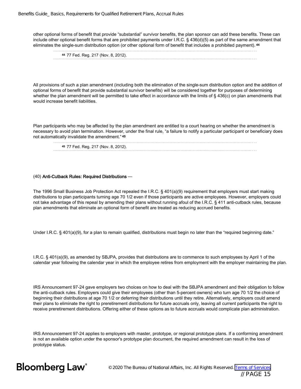other optional forms of benefit that provide "substantial" survivor benefits, the plan sponsor can add these benefits. These can include other optional benefit forms that are prohibited payments under I.R.C. § 436(d)(5) as part of the same amendment that eliminates the single-sum distribution option (or other optional form of benefit that includes a prohibited payment). <sup>44</sup>

| 44 77 Fed. Reg. 217 (Nov. 8, 2012). |
|-------------------------------------|
|                                     |

All provisions of such a plan amendment (including both the elimination of the single-sum distribution option and the addition of optional forms of benefit that provide substantial survivor benefits) will be considered together for purposes of determining whether the plan amendment will be permitted to take effect in accordance with the limits of § 436(c) on plan amendments that would increase benefit liabilities.

Plan participants who may be affected by the plan amendment are entitled to a court hearing on whether the amendment is necessary to avoid plan termination. However, under the final rule, "a failure to notify a particular participant or beneficiary does not automatically invalidate the amendment." <sup>45</sup>

| 45 77 Fed. Reg. 217 (Nov. 8, 2012). |  |  |
|-------------------------------------|--|--|
|                                     |  |  |

### (40) Anti-Cutback Rules: Required Distributions —

The 1996 Small Business Job Protection Act repealed the I.R.C. § 401(a)(9) requirement that employers must start making distributions to plan participants turning age 70 1/2 even if those participants are active employees. However, employers could not take advantage of this repeal by amending their plans without running afoul of the I.R.C. § 411 anti-cutback rules, because plan amendments that eliminate an optional form of benefit are treated as reducing accrued benefits.

Under I.R.C. § 401(a)(9), for a plan to remain qualified, distributions must begin no later than the "required beginning date."

I.R.C. § 401(a)(9), as amended by SBJPA, provides that distributions are to commence to such employees by April 1 of the calendar year following the calendar year in which the employee retires from employment with the employer maintaining the plan.

IRS Announcement 97-24 gave employers two choices on how to deal with the SBJPA amendment and their obligation to follow the anti-cutback rules. Employers could give their employees (other than 5-percent owners) who turn age 70 1/2 the choice of beginning their distributions at age 70 1/2 or deferring their distributions until they retire. Alternatively, employers could amend their plans to eliminate the right to preretirement distributions for future accruals only, leaving all current participants the right to receive preretirement distributions. Offering either of these options as to future accruals would complicate plan administration.

IRS Announcement 97-24 applies to employers with master, prototype, or regional prototype plans. If a conforming amendment is not an available option under the sponsor's prototype plan document, the required amendment can result in the loss of prototype status.

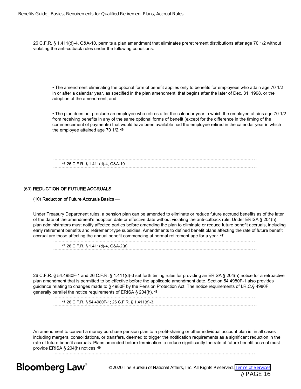26 C.F.R. § 1.411(d)-4, Q&A-10, permits a plan amendment that eliminates preretirement distributions after age 70 1/2 without violating the anti-cutback rules under the following conditions:

• The amendment eliminating the optional form of benefit applies only to benefits for employees who attain age 70 1/2 in or after a calendar year, as specified in the plan amendment, that begins after the later of Dec. 31, 1998, or the adoption of the amendment; and

• The plan does not preclude an employee who retires after the calendar year in which the employee attains age 70 1/2 from receiving benefits in any of the same optional forms of benefit (except for the difference in the timing of the commencement of payments) that would have been available had the employee retired in the calendar year in which the employee attained age 70 1/2. <sup>46</sup>

<sup>46</sup> 26 C.F.R. § 1.411(d)-4, Q&A-10.

### (60) REDUCTION OF FUTURE ACCRUALS

### (10) Reduction of Future Accruals Basics —

Under Treasury Department rules, a pension plan can be amended to eliminate or reduce future accrued benefits as of the later of the date of the amendment's adoption date or effective date without violating the anti-cutback rule. Under ERISA § 204(h), plan administrators must notify affected parties before amending the plan to eliminate or reduce future benefit accruals, including early retirement benefits and retirement-type subsidies. Amendments to defined benefit plans affecting the rate of future benefit accrual are those affecting the annual benefit commencing at normal retirement age for a year. <sup>47</sup>

<sup>47</sup> 26 C.F.R. § 1.411(d)-4, Q&A-2(a).

26 C.F.R. § 54.4980F-1 and 26 C.F.R. § 1.411(d)-3 set forth timing rules for providing an ERISA § 204(h) notice for a retroactive plan amendment that is permitted to be effective before the applicable amendment date. Section 54.4980F-1 also provides guidance relating to changes made to § 4980F by the Pension Protection Act. The notice requirements of I.R.C.§ 4980F generally parallel the notice requirements of ERISA § 204(h). <sup>48</sup>

<sup>48</sup> 26 C.F.R. § 54.4980F-1; 26 C.F.R. § 1.411(d)-3.

An amendment to convert a money purchase pension plan to a profit-sharing or other individual account plan is, in all cases including mergers, consolidations, or transfers, deemed to trigger the notification requirements as a significant reduction in the rate of future benefit accruals. Plans amended before termination to reduce significantly the rate of future benefit accrual must provide ERISA § 204(h) notices. <sup>49</sup>

**Bloomberg Law®** 

© 2020 The Bureau of National Affairs, Inc. All Rights Reserved. [Terms of Services](http://www.bna.com/terms-of-service-subscription-products) // PAGE 16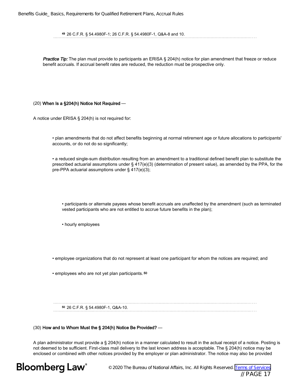<sup>49</sup> 26 C.F.R. § 54.4980F-1; 26 C.F.R. § 54.4980F-1, Q&A-8 and 10.

Practice Tip: The plan must provide to participants an ERISA § 204(h) notice for plan amendment that freeze or reduce benefit accruals. If accrual benefit rates are reduced, the reduction must be prospective only.

### (20) When Is a §204(h) Notice Not Required —

A notice under ERISA § 204(h) is not required for:

• plan amendments that do not affect benefits beginning at normal retirement age or future allocations to participants' accounts, or do not do so significantly;

• a reduced single-sum distribution resulting from an amendment to a traditional defined benefit plan to substitute the prescribed actuarial assumptions under § 417(e)(3) (determination of present value), as amended by the PPA, for the pre-PPA actuarial assumptions under § 417(e)(3);

• participants or alternate payees whose benefit accruals are unaffected by the amendment (such as terminated vested participants who are not entitled to accrue future benefits in the plan);

• hourly employees

• employee organizations that do not represent at least one participant for whom the notices are required; and

• employees who are not yet plan participants. <sup>50</sup>

<sup>50</sup> 26 C.F.R. § 54.4980F-1, Q&A-10.

#### (30) How and to Whom Must the § 204(h) Notice Be Provided? —

A plan administrator must provide a § 204(h) notice in a manner calculated to result in the actual receipt of a notice. Posting is not deemed to be sufficient. First-class mail delivery to the last known address is acceptable. The § 204(h) notice may be enclosed or combined with other notices provided by the employer or plan administrator. The notice may also be provided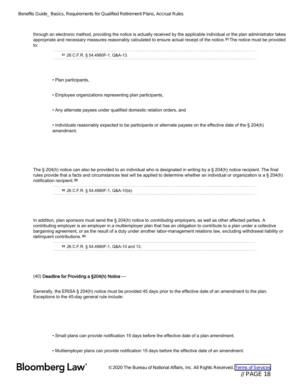through an electronic method, providing the notice is actually received by the applicable individual or the plan administrator takes appropriate and necessary measures reasonably calculated to ensure actual receipt of the notice. 51 The notice must be provided to:

|  | <sup>51</sup> 26 C.F.R. § 54.4980F-1, Q&A-13. |  |  |  |  |  |  |  |  |  |  |  |  |  |  |  |  |  |  |  |  |  |  |  |  |  |  |  |  |
|--|-----------------------------------------------|--|--|--|--|--|--|--|--|--|--|--|--|--|--|--|--|--|--|--|--|--|--|--|--|--|--|--|--|
|  |                                               |  |  |  |  |  |  |  |  |  |  |  |  |  |  |  |  |  |  |  |  |  |  |  |  |  |  |  |  |

- Plan participants,
- Employee organizations representing plan participants,
- Any alternate payees under qualified domestic relation orders, and

• individuals reasonably expected to be participants or alternate payees on the effective date of the § 204(h) amendment.

The § 204(h) notice can also be provided to an individual who is designated in writing by a § 204(h) notice recipient. The final rules provide that a facts and circumstances test will be applied to determine whether an individual or organization is a § 204(h) notification recipient. <sup>52</sup>

| <sup>52</sup> 26 C.F.R. § 54.4980F-1, Q&A-10(e). |  |
|--------------------------------------------------|--|
|                                                  |  |

In addition, plan sponsors must send the § 204(h) notice to *contributing employers*, as well as other affected parties. A contributing employer is an employer in a multiemployer plan that has an obligation to contribute to a plan under a collective bargaining agreement, or as the result of a duty under another labor-management relations law, excluding withdrawal liability or delinquent contributions. <sup>53</sup>

<sup>53</sup> 26 C.F.R. § 54.4980F-1, Q&A-10 and 13.

### (40) Deadline for Providing a §204(h) Notice —

Generally, the ERISA § 204(h) notice must be provided 45 days prior to the effective date of an amendment to the plan. Exceptions to the 45-day general rule include:

• Small plans can provide notification 15 days before the effective date of a plan amendment.

• Multiemployer plans can provide notification 15 days before the effective date of an amendment.

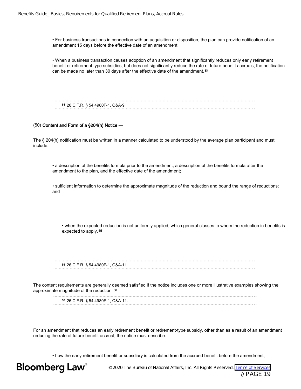• For business transactions in connection with an acquisition or disposition, the plan can provide notification of an amendment 15 days before the effective date of an amendment.

• When a business transaction causes adoption of an amendment that significantly reduces only early retirement benefit or retirement type subsidies, but does not significantly reduce the rate of future benefit accruals, the notification can be made no later than 30 days after the effective date of the amendment. <sup>54</sup>

<sup>54</sup> 26 C.F.R. § 54.4980F-1, Q&A-9.

### (50) Content and Form of a §204(h) Notice —

The § 204(h) notification must be written in a manner calculated to be understood by the average plan participant and must include:

• a description of the benefits formula prior to the amendment, a description of the benefits formula after the amendment to the plan, and the effective date of the amendment;

• sufficient information to determine the approximate magnitude of the reduction and bound the range of reductions; and

• when the expected reduction is not uniformly applied, which general classes to whom the reduction in benefits is expected to apply. <sup>55</sup>

<sup>55</sup> 26 C.F.R. § 54.4980F-1, Q&A-11.

The content requirements are generally deemed satisfied if the notice includes one or more illustrative examples showing the approximate magnitude of the reduction. <sup>56</sup>

<sup>56</sup> 26 C.F.R. § 54.4980F-1, Q&A-11.

For an amendment that reduces an early retirement benefit or retirement-type subsidy, other than as a result of an amendment reducing the rate of future benefit accrual, the notice must describe:

• how the early retirement benefit or subsdiary is calculated from the accrued benefit before the amendment;

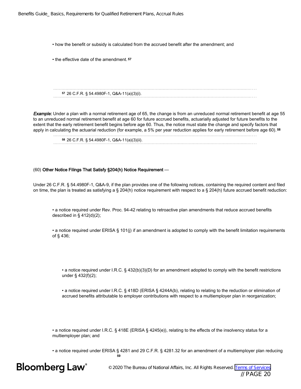• how the benefit or subsidy is calculated from the accrued benefit after the amendment; and

• the effective date of the amendment. <sup>57</sup>

<sup>57</sup> 26 C.F.R. § 54.4980F-1, Q&A-11(a)(3)(i).

**Example:** Under a plan with a normal retirement age of 65, the change is from an unreduced normal retirement benefit at age 55 to an unreduced normal retirement benefit at age 60 for future accrued benefits, actuarially adjusted for future benefits to the extent that the early retirement benefit begins before age 60. Thus, the notice must state the change and specify factors that apply in calculating the actuarial reduction (for example, a 5% per year reduction applies for early retirement before age 60). <sup>58</sup>

<sup>58</sup> 26 C.F.R. § 54.4980F-1, Q&A-11(a)(3)(ii).

### (60) Other Notice Filings That Satisfy §204(h) Notice Requirement —

Under 26 C.F.R. § 54.4980F-1, Q&A-9, if the plan provides one of the following notices, containing the required content and filed on time, the plan is treated as satisfying a § 204(h) notice requirement with respect to a § 204(h) future accrued benefit reduction:

• a notice required under Rev. Proc. 94-42 relating to retroactive plan amendments that reduce accrued benefits described in § 412(d)(2);

• a notice required under ERISA § 101(j) if an amendment is adopted to comply with the benefit limitation requirements of § 436;

• a notice required under I.R.C. § 432(b)(3)(D) for an amendment adopted to comply with the benefit restrictions under § 432(f)(2);

• a notice required under I.R.C. § 418D (ERISA § 4244A(b), relating to relating to the reduction or elimination of accrued benefits attributable to employer contributions with respect to a multiemployer plan in reorganization;

• a notice required under I.R.C. § 418E (ERISA § 4245(e)), relating to the effects of the insolvency status for a multiemployer plan; and

• a notice required under ERISA § 4281 and 29 C.F.R. § 4281.32 for an amendment of a multiemployer plan reducing 59

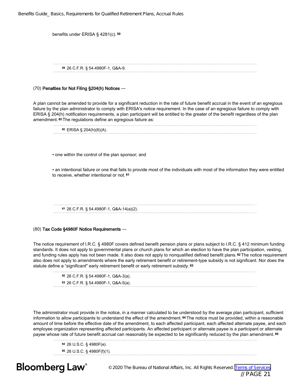| Benefits Guide_ Basics, Requirements for Qualified Retirement Plans, Accrual Rules |  |  |  |  |  |  |  |
|------------------------------------------------------------------------------------|--|--|--|--|--|--|--|
|------------------------------------------------------------------------------------|--|--|--|--|--|--|--|

| benefits under ERISA § 4281(c). 59                                                                                                                                                                                                                                                                                                                                                                                                                                           |
|------------------------------------------------------------------------------------------------------------------------------------------------------------------------------------------------------------------------------------------------------------------------------------------------------------------------------------------------------------------------------------------------------------------------------------------------------------------------------|
| 59 26 C.F.R. § 54.4980F-1, Q&A-9.                                                                                                                                                                                                                                                                                                                                                                                                                                            |
| (70) Penalties for Not Filing §204(h) Notices -                                                                                                                                                                                                                                                                                                                                                                                                                              |
| A plan cannot be amended to provide for a significant reduction in the rate of future benefit accrual in the event of an egregious<br>failure by the plan administrator to comply with ERISA's notice requirement. In the case of an egregious failure to comply with<br>ERISA § 204(h) notification requirements, a plan participant will be entitled to the greater of the benefit regardless of the plan<br>amendment. 60 The regulations define an egregious failure as: |
| $60$ ERISA § 204(h)(6)(A).                                                                                                                                                                                                                                                                                                                                                                                                                                                   |
| • one within the control of the plan sponsor; and                                                                                                                                                                                                                                                                                                                                                                                                                            |
| • an intentional failure or one that fails to provide most of the individuals with most of the information they were entitled<br>to receive, whether intentional or not. 61                                                                                                                                                                                                                                                                                                  |
|                                                                                                                                                                                                                                                                                                                                                                                                                                                                              |
| 61 26 C.F.R. § 54.4980F-1, Q&A-14(a)(2).                                                                                                                                                                                                                                                                                                                                                                                                                                     |
| (80) Tax Code §4980F Notice Requirements -                                                                                                                                                                                                                                                                                                                                                                                                                                   |

The notice requirement of I.R.C. § 4980F covers defined benefit pension plans or plans subject to I.R.C. § 412 minimum funding standards. It does not apply to governmental plans or church plans for which an election to have the plan participation, vesting, and funding rules apply has not been made. It also does not apply to nonqualified defined benefit plans. <sup>62</sup> The notice requirement also does not apply to amendments where the early retirement benefit or retirement-type subsidy is not significant. Nor does the statute define a "significant" early retirement benefit or early retirement subsidy. 63

<sup>62</sup> 26 C.F.R. § 54.4980F-1, Q&A-3(a).

<sup>63</sup> 26 C.F.R. § 54.4980F-1, Q&A-5(a).

The administrator must provide in the notice, in a manner calculated to be understood by the average plan participant, sufficient information to allow participants to understand the effect of the amendment. <sup>64</sup> The notice must be provided, within a reasonable amount of time before the effective date of the amendment, to each affected participant, each affected alternate payee, and each employee organization representing affected participants. An affected participant or alternate payee is a participant or alternate payee whose rate of future benefit accrual can reasonably be expected to be significantly reduced by the plan amendment. <sup>65</sup>

<sup>64</sup> 26 U.S.C. § 4980F(e). <sup>65</sup> 26 U.S.C. § 4980F(f)(1). 

**Bloomberg Law**<sup>®</sup>

© 2020 The Bureau of National Affairs, Inc. All Rights Reserved. [Terms of Services](http://www.bna.com/terms-of-service-subscription-products) // PAGE 21